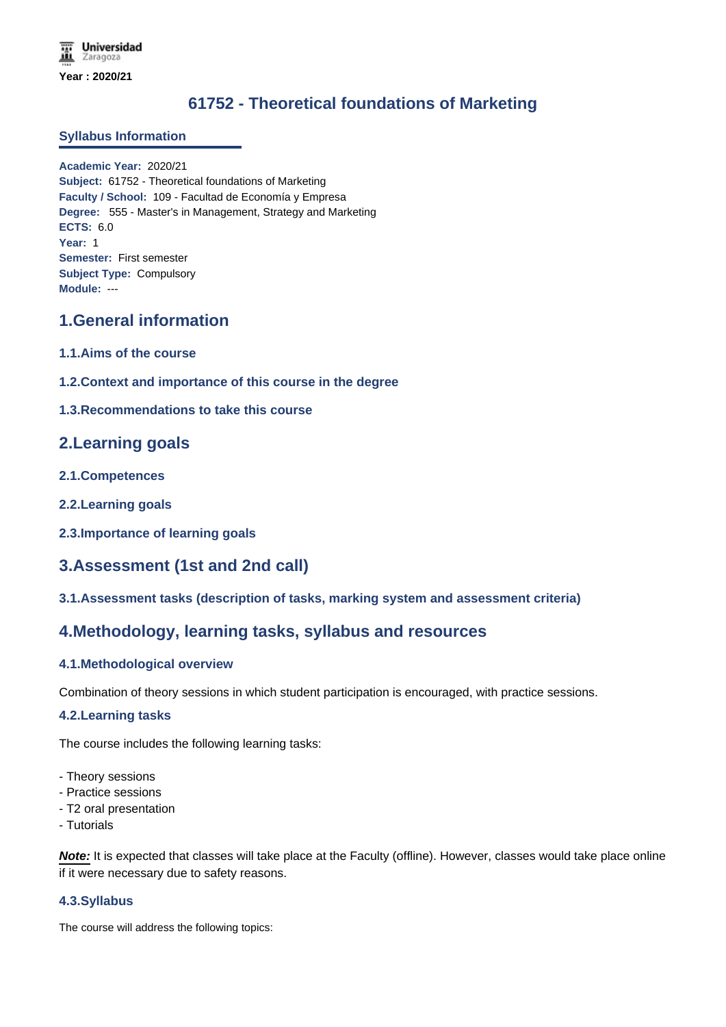# **61752 - Theoretical foundations of Marketing**

#### **Syllabus Information**

**Academic Year:** 2020/21 **Subject:** 61752 - Theoretical foundations of Marketing **Faculty / School:** 109 - Facultad de Economía y Empresa **Degree:** 555 - Master's in Management, Strategy and Marketing **ECTS:** 6.0 **Year:** 1 **Semester:** First semester **Subject Type:** Compulsory **Module:** ---

# **1.General information**

- **1.1.Aims of the course**
- **1.2.Context and importance of this course in the degree**
- **1.3.Recommendations to take this course**

# **2.Learning goals**

- **2.1.Competences**
- **2.2.Learning goals**
- **2.3.Importance of learning goals**

# **3.Assessment (1st and 2nd call)**

**3.1.Assessment tasks (description of tasks, marking system and assessment criteria)**

# **4.Methodology, learning tasks, syllabus and resources**

### **4.1.Methodological overview**

Combination of theory sessions in which student participation is encouraged, with practice sessions.

#### **4.2.Learning tasks**

The course includes the following learning tasks:

- Theory sessions
- Practice sessions
- T2 oral presentation
- Tutorials

*Note:* It is expected that classes will take place at the Faculty (offline). However, classes would take place online if it were necessary due to safety reasons.

### **4.3.Syllabus**

The course will address the following topics: